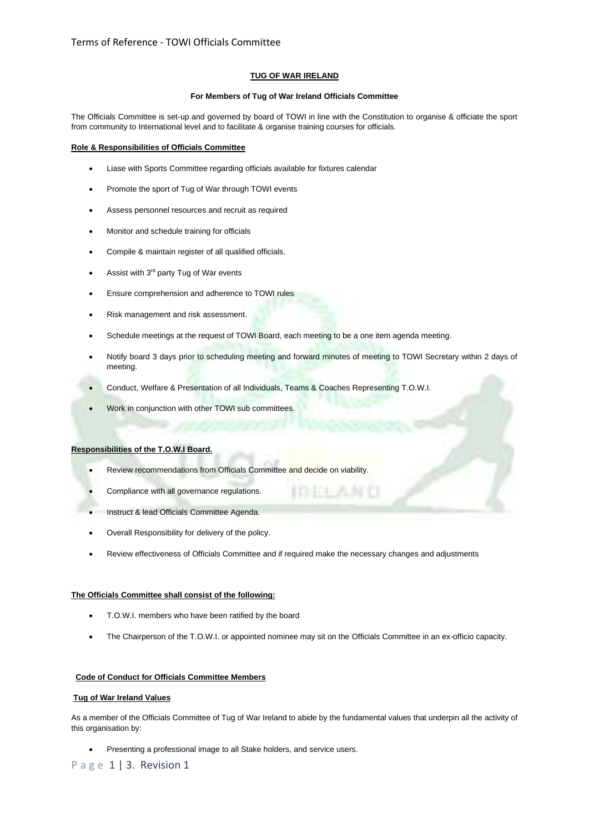## **TUG OF WAR IRELAND**

## **For Members of Tug of War Ireland Officials Committee**

The Officials Committee is set-up and governed by board of TOWI in line with the Constitution to organise & officiate the sport from community to International level and to facilitate & organise training courses for officials.

## **Role & Responsibilities of Officials Committee**

- Liase with Sports Committee regarding officials available for fixtures calendar
- Promote the sport of Tug of War through TOWI events
- Assess personnel resources and recruit as required
- Monitor and schedule training for officials
- Compile & maintain register of all qualified officials.
- Assist with 3<sup>rd</sup> party Tug of War events
- Ensure comprehension and adherence to TOWI rules
- Risk management and risk assessment.
- Schedule meetings at the request of TOWI Board, each meeting to be a one item agenda meeting.
- Notify board 3 days prior to scheduling meeting and forward minutes of meeting to TOWI Secretary within 2 days of meeting.
- Conduct, Welfare & Presentation of all Individuals, Teams & Coaches Representing T.O.W.I.
- Work in conjunction with other TOWI sub committees.

#### **Responsibilities of the T.O.W.I Board.**

- Review recommendations from Officials Committee and decide on viability.
- Compliance with all governance regulations.
- Instruct & lead Officials Committee Agenda.
- Overall Responsibility for delivery of the policy.
- Review effectiveness of Officials Committee and if required make the necessary changes and adjustments

## **The Officials Committee shall consist of the following:**

- T.O.W.I. members who have been ratified by the board
- The Chairperson of the T.O.W.I. or appointed nominee may sit on the Officials Committee in an ex-officio capacity.

# **Code of Conduct for Officials Committee Members**

## **Tug of War Ireland Values**

As a member of the Officials Committee of Tug of War Ireland to abide by the fundamental values that underpin all the activity of this organisation by:

• Presenting a professional image to all Stake holders, and service users.

P a g e 1 | 3. Revision 1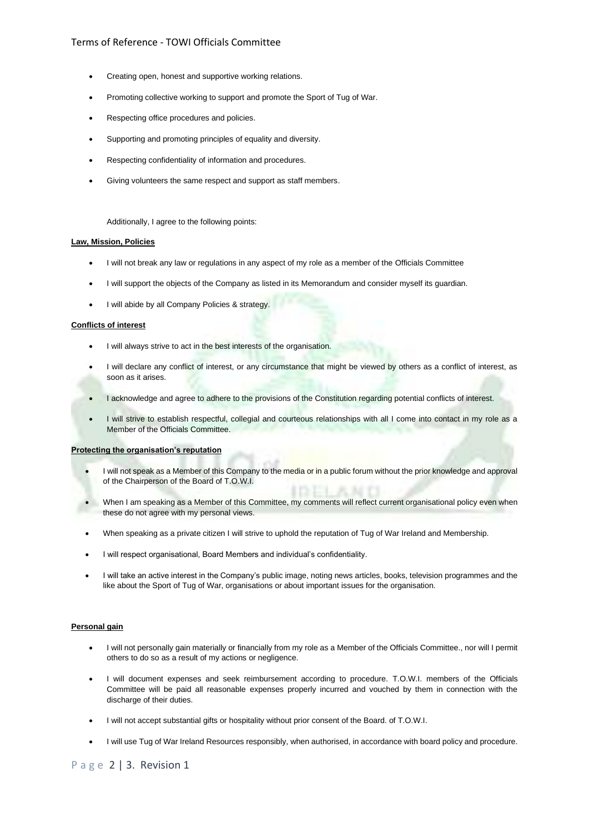# Terms of Reference - TOWI Officials Committee

- Creating open, honest and supportive working relations.
- Promoting collective working to support and promote the Sport of Tug of War.
- Respecting office procedures and policies.
- Supporting and promoting principles of equality and diversity.
- Respecting confidentiality of information and procedures.
- Giving volunteers the same respect and support as staff members.

Additionally, I agree to the following points:

## **Law, Mission, Policies**

- I will not break any law or regulations in any aspect of my role as a member of the Officials Committee
- I will support the objects of the Company as listed in its Memorandum and consider myself its guardian.
- I will abide by all Company Policies & strategy.

## **Conflicts of interest**

- I will always strive to act in the best interests of the organisation.
- I will declare any conflict of interest, or any circumstance that might be viewed by others as a conflict of interest, as soon as it arises.
- I acknowledge and agree to adhere to the provisions of the Constitution regarding potential conflicts of interest.
- I will strive to establish respectful, collegial and courteous relationships with all I come into contact in my role as a Member of the Officials Committee.

#### **Protecting the organisation's reputation**

- I will not speak as a Member of this Company to the media or in a public forum without the prior knowledge and approval of the Chairperson of the Board of T.O.W.I.
- When I am speaking as a Member of this Committee, my comments will reflect current organisational policy even when these do not agree with my personal views.
- When speaking as a private citizen I will strive to uphold the reputation of Tug of War Ireland and Membership.
- I will respect organisational, Board Members and individual's confidentiality.
- I will take an active interest in the Company's public image, noting news articles, books, television programmes and the like about the Sport of Tug of War, organisations or about important issues for the organisation.

#### **Personal gain**

- I will not personally gain materially or financially from my role as a Member of the Officials Committee., nor will I permit others to do so as a result of my actions or negligence.
- I will document expenses and seek reimbursement according to procedure. T.O.W.I. members of the Officials Committee will be paid all reasonable expenses properly incurred and vouched by them in connection with the discharge of their duties.
- I will not accept substantial gifts or hospitality without prior consent of the Board. of T.O.W.I.
- I will use Tug of War Ireland Resources responsibly, when authorised, in accordance with board policy and procedure.

P a g e 2 | 3. Revision 1